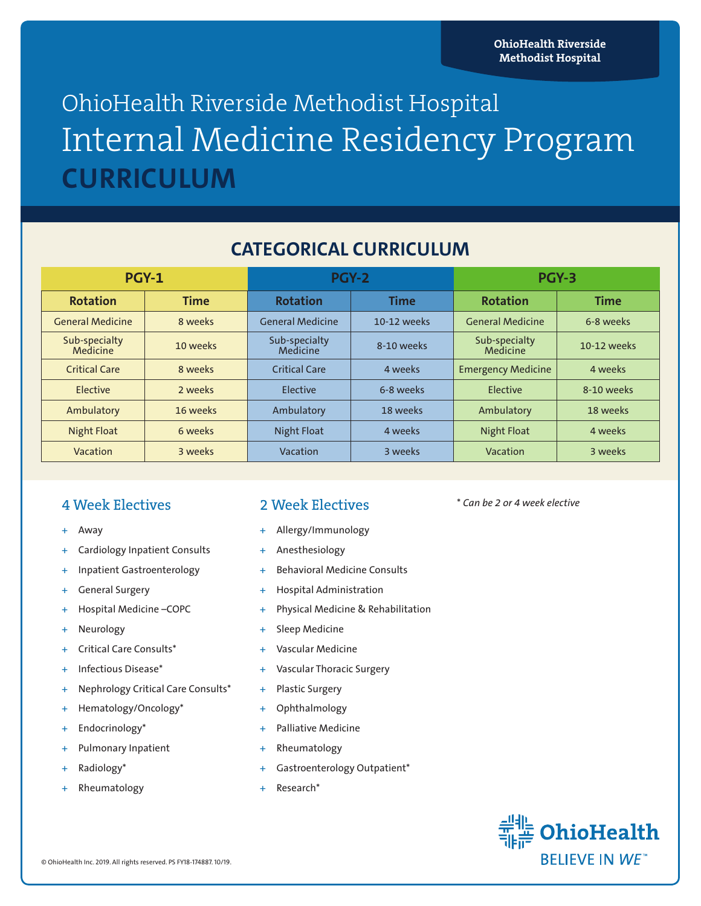# OhioHealth Riverside Methodist Hospital Internal Medicine Residency Program **CURRICULUM**

## **CATEGORICAL CURRICULUM**

| <b>PGY-1</b>              |             | PGY-2                     |             | PGY-3                     |             |
|---------------------------|-------------|---------------------------|-------------|---------------------------|-------------|
| <b>Rotation</b>           | <b>Time</b> | <b>Rotation</b>           | <b>Time</b> | <b>Rotation</b>           | <b>Time</b> |
| <b>General Medicine</b>   | 8 weeks     | <b>General Medicine</b>   | 10-12 weeks | <b>General Medicine</b>   | 6-8 weeks   |
| Sub-specialty<br>Medicine | 10 weeks    | Sub-specialty<br>Medicine | 8-10 weeks  | Sub-specialty<br>Medicine | 10-12 weeks |
| <b>Critical Care</b>      | 8 weeks     | <b>Critical Care</b>      | 4 weeks     | <b>Emergency Medicine</b> | 4 weeks     |
| Elective                  | 2 weeks     | Elective                  | 6-8 weeks   | Elective                  | 8-10 weeks  |
| Ambulatory                | 16 weeks    | Ambulatory                | 18 weeks    | Ambulatory                | 18 weeks    |
| <b>Night Float</b>        | 6 weeks     | <b>Night Float</b>        | 4 weeks     | <b>Night Float</b>        | 4 weeks     |
| Vacation                  | 3 weeks     | Vacation                  | 3 weeks     | Vacation                  | 3 weeks     |

#### 4 Week Electives

- *+* Away
- *+* Cardiology Inpatient Consults
- *+* Inpatient Gastroenterology
- *+* General Surgery
- *+* Hospital Medicine –COPC
- *+* Neurology
- *+* Critical Care Consults\*
- *+* Infectious Disease\*
- *+* Nephrology Critical Care Consults\*
- *+* Hematology/Oncology\*
- *+* Endocrinology\*
- Pulmonary Inpatient
- *+* Radiology\*
- *+* Rheumatology

### 2 Week Electives

- *+* Allergy/Immunology
- *+* Anesthesiology
- *+* Behavioral Medicine Consults
- *+* Hospital Administration
- *+* Physical Medicine & Rehabilitation
- *+* Sleep Medicine
- *+* Vascular Medicine
- *+* Vascular Thoracic Surgery
- *+* Plastic Surgery
- *+* Ophthalmology
- *+* Palliative Medicine
- *+* Rheumatology
- *+* Gastroenterology Outpatient\*
- *+* Research\*

\* *Can be 2 or 4 week elective*

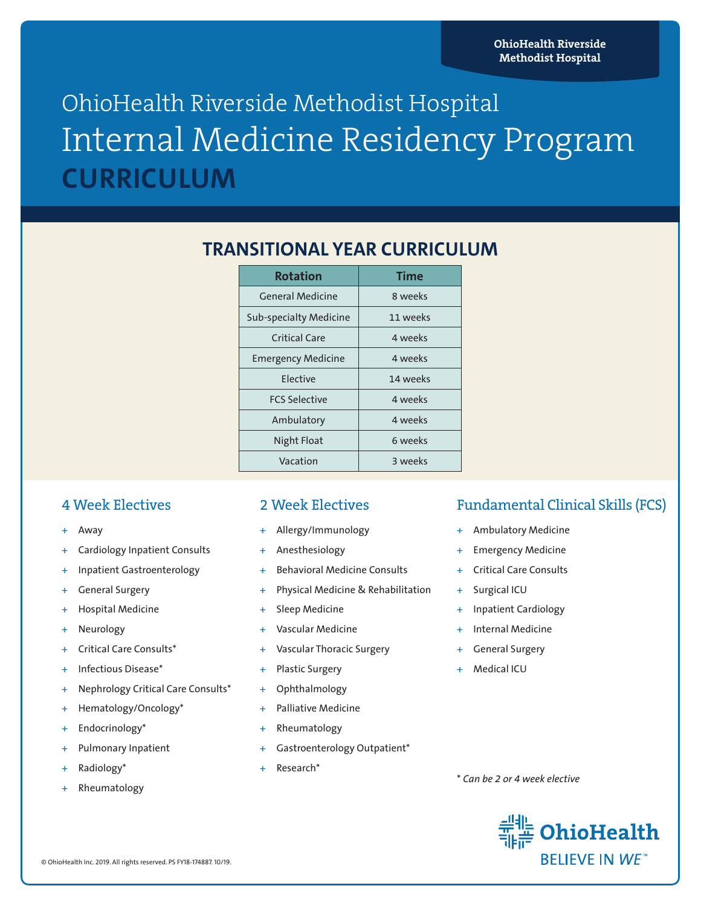# OhioHealth Riverside Methodist Hospital Internal Medicine Residency Program **CURRICULUM**

## **TRANSITIONAL YEAR CURRICULUM**

| <b>Rotation</b>               | Time     |  |
|-------------------------------|----------|--|
| <b>General Medicine</b>       | 8 weeks  |  |
| <b>Sub-specialty Medicine</b> | 11 weeks |  |
| Critical Care                 | 4 weeks  |  |
| <b>Emergency Medicine</b>     | 4 weeks  |  |
| <b>Flective</b>               | 14 weeks |  |
| <b>FCS Selective</b>          | 4 weeks  |  |
| Ambulatory                    | 4 weeks  |  |
| Night Float                   | 6 weeks  |  |
| Vacation                      | 3 weeks  |  |

#### 4 Week Electives

- *+* Away
- *+* Cardiology Inpatient Consults
- *+* Inpatient Gastroenterology
- *+* General Surgery
- *+* Hospital Medicine
- *+* Neurology
- *+* Critical Care Consults\*
- *+* Infectious Disease\*
- *+* Nephrology Critical Care Consults\*
- *+* Hematology/Oncology\*
- *+* Endocrinology\*
- Pulmonary Inpatient
- *+* Radiology\*
- *+* Rheumatology

#### 2 Week Electives

- *+* Allergy/Immunology
- *+* Anesthesiology
- *+* Behavioral Medicine Consults
- *+* Physical Medicine & Rehabilitation
- **Sleep Medicine**
- *+* Vascular Medicine
- *+* Vascular Thoracic Surgery
- *+* Plastic Surgery
- *+* Ophthalmology
- Palliative Medicine
- *+* Rheumatology
- *+* Gastroenterology Outpatient\*
- *+* Research\*

### Fundamental Clinical Skills (FCS)

- *+* Ambulatory Medicine
- *+* Emergency Medicine
- *+* Critical Care Consults
- *+* Surgical ICU
- *+* Inpatient Cardiology
- *+* Internal Medicine
- *+* General Surgery
- *+* Medical ICU

\* *Can be 2 or 4 week elective*